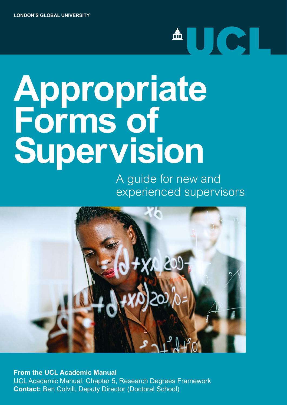# **Appropriate Forms of Supervision**

A guide for new and experienced supervisors

<sup>A</sup>UCL



**Contact:** Ben Colvill, Deputy Director (Doctoral School) **Contact:** Ben Colvinsion **From the UCL Academic Manual** [UCL Academic Manual: Chapter 5, Research Degrees Framework](https://www.ucl.ac.uk/academic-manual/chapters/chapter-5-research-degrees-framework)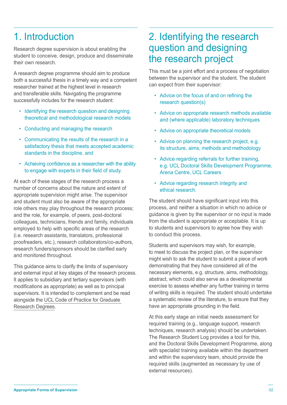# 1. Introduction

Research degree supervision is about enabling the student to conceive, design, produce and disseminate their own research.

A research degree programme should aim to produce both a successful thesis in a timely way and a competent researcher trained at the highest level in research and transferable skills. Navigating the programme successfully includes for the research student:

- Identifying the research question and designing theoretical and methodological research models
- Conducting and managing the research
- Communicating the results of the research in a satisfactory thesis that meets accepted academic standards in the discipline, and
- Achieving confidence as a researcher with the ability to engage with experts in their field of study.

At each of these stages of the research process a number of concerns about the nature and extent of appropriate supervision might arise. The supervisor and student must also be aware of the appropriate role others may play throughout the research process; and the role, for example, of peers, post-doctoral colleagues, technicians, friends and family, individuals employed to help with specific areas of the research (i.e. research assistants, translators, professional proofreaders, etc.), research collaborators/co-authors, research funders/sponsors should be clarified early and monitored throughout.

This guidance aims to clarify the limits of supervisory and external input at key stages of the research process. It applies to subsidiary and tertiary supervisors (with modifications as appropriate) as well as to principal supervisors. It is intended to complement and be read alongside the [UCL Code of Practice for Graduate](http://www.grad.ucl.ac.uk/codes/)  [Research Degrees](http://www.grad.ucl.ac.uk/codes/).

### 2. Identifying the research question and designing the research project

This must be a joint effort and a process of negotiation between the supervisor and the student. The student can expect from their supervisor:

- • Advice on the focus of and on refining the research question(s)
- Advice on appropriate research methods available and (where applicable) laboratory techniques
- Advice on appropriate theoretical models
- Advice on planning the research project, e.g. its structure, aims, methods and methodology
- Advice regarding referrals for further training, e.g. UCL Doctoral Skills Development Programme, Arena Centre, UCL Careers
- Advice regarding research integrity and ethical research.

The student should have significant input into this process, and neither a situation in which no advice or guidance is given by the supervisor or no input is made from the student is appropriate or acceptable. It is up to students and supervisors to agree how they wish to conduct this process.

Students and supervisors may wish, for example, to meet to discuss the project plan, or the supervisor might wish to ask the student to submit a piece of work demonstrating that they have considered all of the necessary elements, e.g. structure, aims, methodology, abstract, which could also serve as a developmental exercise to assess whether any further training in terms of writing skills is required. The student should undertake a systematic review of the literature, to ensure that they have an appropriate grounding in the field.

At this early stage an initial needs assessment for required training (e.g., language support, research techniques, research analysis) should be undertaken. The Research Student Log provides a tool for this, and the Doctoral Skills Development Programme, along with specialist training available within the department and within the supervisory team, should provide the required skills (augmented as necessary by use of external resources).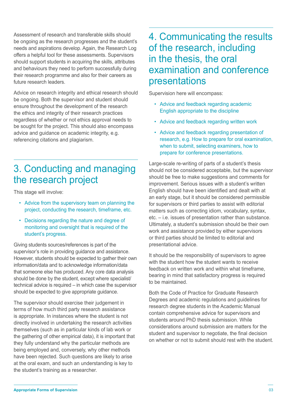Assessment of research and transferable skills should be ongoing as the research progresses and the student's needs and aspirations develop. Again, the Research Log offers a helpful tool for these assessments. Supervisors should support students in acquiring the skills, attributes and behaviours they need to perform successfully during their research programme and also for their careers as future research leaders.

Advice on research integrity and ethical research should be ongoing. Both the supervisor and student should ensure throughout the development of the research the ethics and integrity of their research practices regardless of whether or not ethics approval needs to be sought for the project. This should also encompass advice and guidance on academic integrity, e.g. referencing citations and plagiarism.

### 3. Conducting and managing the research project

This stage will involve:

- Advice from the supervisory team on planning the project, conducting the research, timeframe, etc.
- Decisions regarding the nature and degree of monitoring and oversight that is required of the student's progress.

Giving students sources/references is part of the supervisor's role in providing guidance and assistance. However, students should be expected to gather their own information/data and to acknowledge information/data that someone else has produced. Any core data analysis should be done by the student, except where specialist/ technical advice is required – in which case the supervisor should be expected to give appropriate guidance.

The supervisor should exercise their judgement in terms of how much third party research assistance is appropriate. In instances where the student is not directly involved in undertaking the research activities themselves (such as in particular kinds of lab work or the gathering of other empirical data), it is important that they fully understand why the particular methods are being employed and, conversely, why other methods have been rejected. Such questions are likely to arise at the oral exam, and such an understanding is key to the student's training as a researcher.

#### 4. Communicating the results of the research, including in the thesis, the oral examination and conference presentations

Supervision here will encompass:

- Advice and feedback regarding academic English appropriate to the discipline
- Advice and feedback regarding written work
- Advice and feedback regarding presentation of research, e.g. How to prepare for oral examination, when to submit, selecting examiners, how to prepare for conference presentations.

Large-scale re-writing of parts of a student's thesis should not be considered acceptable, but the supervisor should be free to make suggestions and comments for improvement. Serious issues with a student's written English should have been identified and dealt with at an early stage, but it should be considered permissible for supervisors or third parties to assist with editorial matters such as correcting idiom, vocabulary, syntax, etc. – i.e. issues of presentation rather than substance. Ultimately, a student's submission should be their own work and assistance provided by either supervisors or third parties should be limited to editorial and presentational advice.

It should be the responsibility of supervisors to agree with the student how the student wants to receive feedback on written work and within what timeframe, bearing in mind that satisfactory progress is required to be maintained.

Both the Code of Practice for Graduate Research Degrees and academic regulations and guidelines for research degree students in the Academic Manual contain comprehensive advice for supervisors and students around PhD thesis submission. While considerations around submission are matters for the student and supervisor to negotiate, the final decision on whether or not to submit should rest with the student.